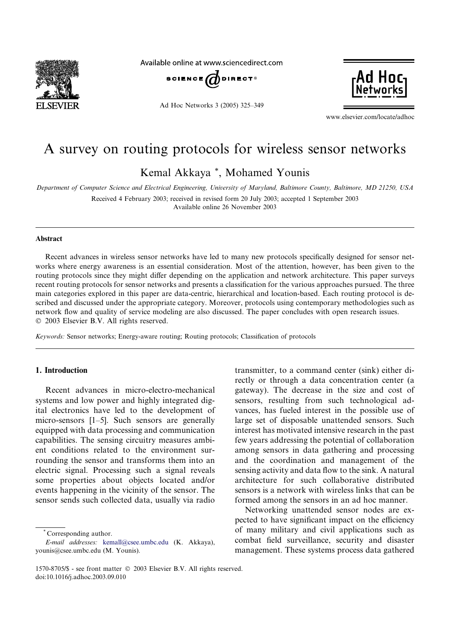

Available online at www.sciencedirect.com



Ad Hoc Networks 3 (2005) 325–349



www.elsevier.com/locate/adhoc

# A survey on routing protocols for wireless sensor networks

Kemal Akkaya \*, Mohamed Younis

Department of Computer Science and Electrical Engineering, University of Maryland, Baltimore County, Baltimore, MD 21250, USA Received 4 February 2003; received in revised form 20 July 2003; accepted 1 September 2003 Available online 26 November 2003

## Abstract

Recent advances in wireless sensor networks have led to many new protocols specifically designed for sensor networks where energy awareness is an essential consideration. Most of the attention, however, has been given to the routing protocols since they might differ depending on the application and network architecture. This paper surveys recent routing protocols for sensor networks and presents a classification for the various approaches pursued. The three main categories explored in this paper are data-centric, hierarchical and location-based. Each routing protocol is described and discussed under the appropriate category. Moreover, protocols using contemporary methodologies such as network flow and quality of service modeling are also discussed. The paper concludes with open research issues. 2003 Elsevier B.V. All rights reserved.

Keywords: Sensor networks; Energy-aware routing; Routing protocols; Classification of protocols

## 1. Introduction

Recent advances in micro-electro-mechanical systems and low power and highly integrated digital electronics have led to the development of micro-sensors [1–5]. Such sensors are generally equipped with data processing and communication capabilities. The sensing circuitry measures ambient conditions related to the environment surrounding the sensor and transforms them into an electric signal. Processing such a signal reveals some properties about objects located and/or events happening in the vicinity of the sensor. The sensor sends such collected data, usually via radio

transmitter, to a command center (sink) either directly or through a data concentration center (a gateway). The decrease in the size and cost of sensors, resulting from such technological advances, has fueled interest in the possible use of large set of disposable unattended sensors. Such interest has motivated intensive research in the past few years addressing the potential of collaboration among sensors in data gathering and processing and the coordination and management of the sensing activity and data flow to the sink. A natural architecture for such collaborative distributed sensors is a network with wireless links that can be formed among the sensors in an ad hoc manner.

Networking unattended sensor nodes are expected to have significant impact on the efficiency of many military and civil applications such as combat field surveillance, security and disaster management. These systems process data gathered

Corresponding author.

E-mail addresses: [kemall@csee.umbc.edu](mailto:kemall@csee.umbc.edu) (K. Akkaya), younis@csee.umbc.edu (M. Younis).

<sup>1570-8705/\$ -</sup> see front matter 2003 Elsevier B.V. All rights reserved. doi:10.1016/j.adhoc.2003.09.010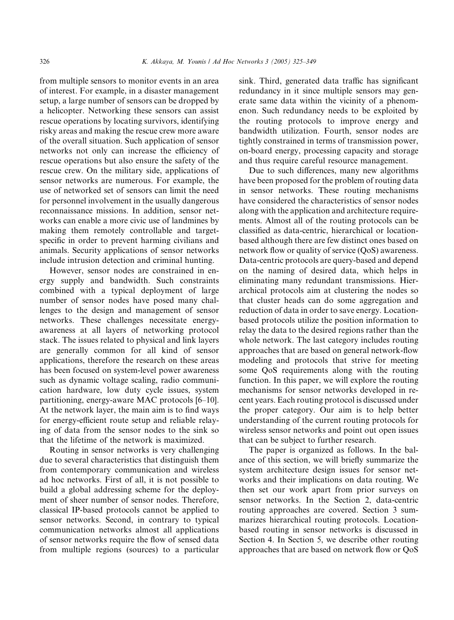from multiple sensors to monitor events in an area of interest. For example, in a disaster management setup, a large number of sensors can be dropped by a helicopter. Networking these sensors can assist rescue operations by locating survivors, identifying risky areas and making the rescue crew more aware of the overall situation. Such application of sensor networks not only can increase the efficiency of rescue operations but also ensure the safety of the rescue crew. On the military side, applications of sensor networks are numerous. For example, the use of networked set of sensors can limit the need for personnel involvement in the usually dangerous reconnaissance missions. In addition, sensor networks can enable a more civic use of landmines by making them remotely controllable and targetspecific in order to prevent harming civilians and animals. Security applications of sensor networks include intrusion detection and criminal hunting.

However, sensor nodes are constrained in energy supply and bandwidth. Such constraints combined with a typical deployment of large number of sensor nodes have posed many challenges to the design and management of sensor networks. These challenges necessitate energyawareness at all layers of networking protocol stack. The issues related to physical and link layers are generally common for all kind of sensor applications, therefore the research on these areas has been focused on system-level power awareness such as dynamic voltage scaling, radio communication hardware, low duty cycle issues, system partitioning, energy-aware MAC protocols [6–10]. At the network layer, the main aim is to find ways for energy-efficient route setup and reliable relaying of data from the sensor nodes to the sink so that the lifetime of the network is maximized.

Routing in sensor networks is very challenging due to several characteristics that distinguish them from contemporary communication and wireless ad hoc networks. First of all, it is not possible to build a global addressing scheme for the deployment of sheer number of sensor nodes. Therefore, classical IP-based protocols cannot be applied to sensor networks. Second, in contrary to typical communication networks almost all applications of sensor networks require the flow of sensed data from multiple regions (sources) to a particular sink. Third, generated data traffic has significant redundancy in it since multiple sensors may generate same data within the vicinity of a phenomenon. Such redundancy needs to be exploited by the routing protocols to improve energy and bandwidth utilization. Fourth, sensor nodes are tightly constrained in terms of transmission power, on-board energy, processing capacity and storage and thus require careful resource management.

Due to such differences, many new algorithms have been proposed for the problem of routing data in sensor networks. These routing mechanisms have considered the characteristics of sensor nodes along with the application and architecture requirements. Almost all of the routing protocols can be classified as data-centric, hierarchical or locationbased although there are few distinct ones based on network flow or quality of service (QoS) awareness. Data-centric protocols are query-based and depend on the naming of desired data, which helps in eliminating many redundant transmissions. Hierarchical protocols aim at clustering the nodes so that cluster heads can do some aggregation and reduction of data in order to save energy. Locationbased protocols utilize the position information to relay the data to the desired regions rather than the whole network. The last category includes routing approaches that are based on general network-flow modeling and protocols that strive for meeting some QoS requirements along with the routing function. In this paper, we will explore the routing mechanisms for sensor networks developed in recent years. Each routing protocol is discussed under the proper category. Our aim is to help better understanding of the current routing protocols for wireless sensor networks and point out open issues that can be subject to further research.

The paper is organized as follows. In the balance of this section, we will briefly summarize the system architecture design issues for sensor networks and their implications on data routing. We then set our work apart from prior surveys on sensor networks. In the Section 2, data-centric routing approaches are covered. Section 3 summarizes hierarchical routing protocols. Locationbased routing in sensor networks is discussed in Section 4. In Section 5, we describe other routing approaches that are based on network flow or QoS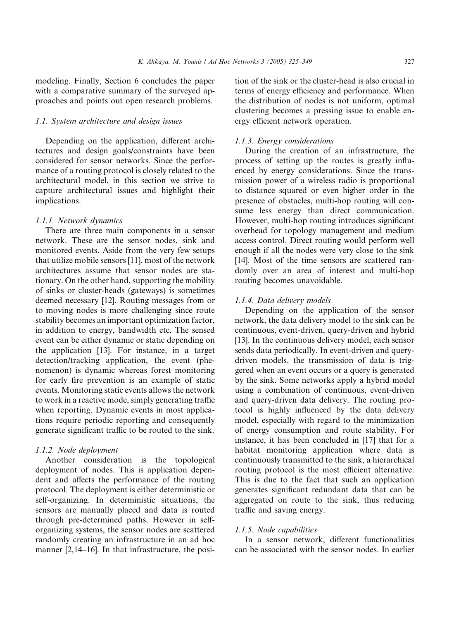modeling. Finally, Section 6 concludes the paper with a comparative summary of the surveyed approaches and points out open research problems.

## 1.1. System architecture and design issues

Depending on the application, different architectures and design goals/constraints have been considered for sensor networks. Since the performance of a routing protocol is closely related to the architectural model, in this section we strive to capture architectural issues and highlight their implications.

## 1.1.1. Network dynamics

There are three main components in a sensor network. These are the sensor nodes, sink and monitored events. Aside from the very few setups that utilize mobile sensors [11], most of the network architectures assume that sensor nodes are stationary. On the other hand, supporting the mobility of sinks or cluster-heads (gateways) is sometimes deemed necessary [12]. Routing messages from or to moving nodes is more challenging since route stability becomes an important optimization factor, in addition to energy, bandwidth etc. The sensed event can be either dynamic or static depending on the application [13]. For instance, in a target detection/tracking application, the event (phenomenon) is dynamic whereas forest monitoring for early fire prevention is an example of static events. Monitoring static events allows the network to work in a reactive mode, simply generating traffic when reporting. Dynamic events in most applications require periodic reporting and consequently generate significant traffic to be routed to the sink.

#### 1.1.2. Node deployment

Another consideration is the topological deployment of nodes. This is application dependent and affects the performance of the routing protocol. The deployment is either deterministic or self-organizing. In deterministic situations, the sensors are manually placed and data is routed through pre-determined paths. However in selforganizing systems, the sensor nodes are scattered randomly creating an infrastructure in an ad hoc manner [2,14–16]. In that infrastructure, the position of the sink or the cluster-head is also crucial in terms of energy efficiency and performance. When the distribution of nodes is not uniform, optimal clustering becomes a pressing issue to enable energy efficient network operation.

## 1.1.3. Energy considerations

During the creation of an infrastructure, the process of setting up the routes is greatly influenced by energy considerations. Since the transmission power of a wireless radio is proportional to distance squared or even higher order in the presence of obstacles, multi-hop routing will consume less energy than direct communication. However, multi-hop routing introduces significant overhead for topology management and medium access control. Direct routing would perform well enough if all the nodes were very close to the sink [14]. Most of the time sensors are scattered randomly over an area of interest and multi-hop routing becomes unavoidable.

## 1.1.4. Data delivery models

Depending on the application of the sensor network, the data delivery model to the sink can be continuous, event-driven, query-driven and hybrid [13]. In the continuous delivery model, each sensor sends data periodically. In event-driven and querydriven models, the transmission of data is triggered when an event occurs or a query is generated by the sink. Some networks apply a hybrid model using a combination of continuous, event-driven and query-driven data delivery. The routing protocol is highly influenced by the data delivery model, especially with regard to the minimization of energy consumption and route stability. For instance, it has been concluded in [17] that for a habitat monitoring application where data is continuously transmitted to the sink, a hierarchical routing protocol is the most efficient alternative. This is due to the fact that such an application generates significant redundant data that can be aggregated on route to the sink, thus reducing traffic and saving energy.

## 1.1.5. Node capabilities

In a sensor network, different functionalities can be associated with the sensor nodes. In earlier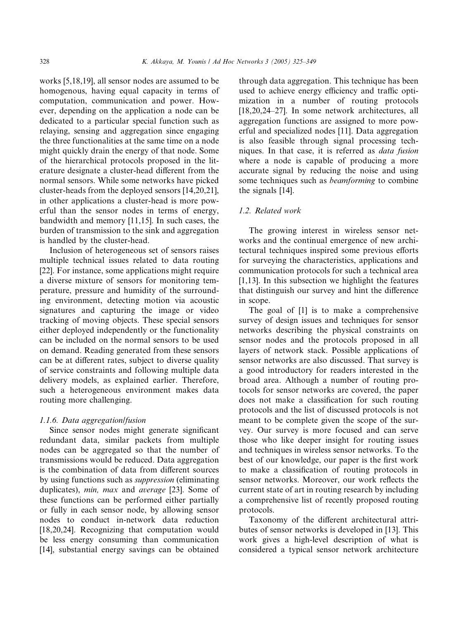works [5,18,19], all sensor nodes are assumed to be homogenous, having equal capacity in terms of computation, communication and power. However, depending on the application a node can be dedicated to a particular special function such as relaying, sensing and aggregation since engaging the three functionalities at the same time on a node might quickly drain the energy of that node. Some of the hierarchical protocols proposed in the literature designate a cluster-head different from the normal sensors. While some networks have picked cluster-heads from the deployed sensors [14,20,21], in other applications a cluster-head is more powerful than the sensor nodes in terms of energy, bandwidth and memory [11,15]. In such cases, the burden of transmission to the sink and aggregation is handled by the cluster-head.

Inclusion of heterogeneous set of sensors raises multiple technical issues related to data routing [22]. For instance, some applications might require a diverse mixture of sensors for monitoring temperature, pressure and humidity of the surrounding environment, detecting motion via acoustic signatures and capturing the image or video tracking of moving objects. These special sensors either deployed independently or the functionality can be included on the normal sensors to be used on demand. Reading generated from these sensors can be at different rates, subject to diverse quality of service constraints and following multiple data delivery models, as explained earlier. Therefore, such a heterogeneous environment makes data routing more challenging.

#### 1.1.6. Data aggregation/fusion

Since sensor nodes might generate significant redundant data, similar packets from multiple nodes can be aggregated so that the number of transmissions would be reduced. Data aggregation is the combination of data from different sources by using functions such as suppression (eliminating duplicates), min, max and average [23]. Some of these functions can be performed either partially or fully in each sensor node, by allowing sensor nodes to conduct in-network data reduction [18,20,24]. Recognizing that computation would be less energy consuming than communication [14], substantial energy savings can be obtained

through data aggregation. This technique has been used to achieve energy efficiency and traffic optimization in a number of routing protocols [18,20,24–27]. In some network architectures, all aggregation functions are assigned to more powerful and specialized nodes [11]. Data aggregation is also feasible through signal processing techniques. In that case, it is referred as data fusion where a node is capable of producing a more accurate signal by reducing the noise and using some techniques such as *beamforming* to combine the signals [14].

## 1.2. Related work

The growing interest in wireless sensor networks and the continual emergence of new architectural techniques inspired some previous efforts for surveying the characteristics, applications and communication protocols for such a technical area [1,13]. In this subsection we highlight the features that distinguish our survey and hint the difference in scope.

The goal of [1] is to make a comprehensive survey of design issues and techniques for sensor networks describing the physical constraints on sensor nodes and the protocols proposed in all layers of network stack. Possible applications of sensor networks are also discussed. That survey is a good introductory for readers interested in the broad area. Although a number of routing protocols for sensor networks are covered, the paper does not make a classification for such routing protocols and the list of discussed protocols is not meant to be complete given the scope of the survey. Our survey is more focused and can serve those who like deeper insight for routing issues and techniques in wireless sensor networks. To the best of our knowledge, our paper is the first work to make a classification of routing protocols in sensor networks. Moreover, our work reflects the current state of art in routing research by including a comprehensive list of recently proposed routing protocols.

Taxonomy of the different architectural attributes of sensor networks is developed in [13]. This work gives a high-level description of what is considered a typical sensor network architecture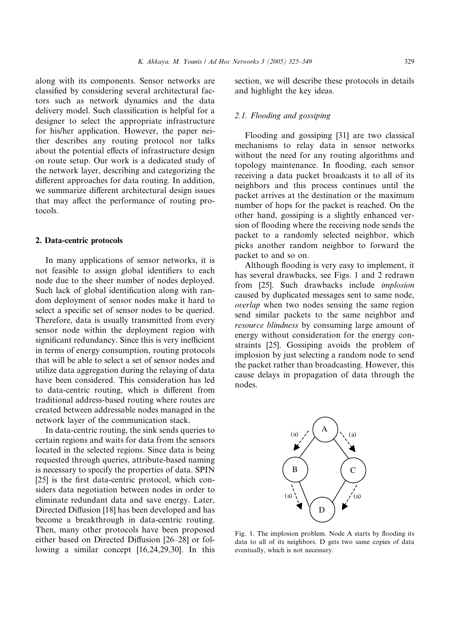along with its components. Sensor networks are classified by considering several architectural factors such as network dynamics and the data delivery model. Such classification is helpful for a designer to select the appropriate infrastructure for his/her application. However, the paper neither describes any routing protocol nor talks about the potential effects of infrastructure design on route setup. Our work is a dedicated study of the network layer, describing and categorizing the different approaches for data routing. In addition, we summarize different architectural design issues that may affect the performance of routing protocols.

## 2. Data-centric protocols

In many applications of sensor networks, it is not feasible to assign global identifiers to each node due to the sheer number of nodes deployed. Such lack of global identification along with random deployment of sensor nodes make it hard to select a specific set of sensor nodes to be queried. Therefore, data is usually transmitted from every sensor node within the deployment region with significant redundancy. Since this is very inefficient in terms of energy consumption, routing protocols that will be able to select a set of sensor nodes and utilize data aggregation during the relaying of data have been considered. This consideration has led to data-centric routing, which is different from traditional address-based routing where routes are created between addressable nodes managed in the network layer of the communication stack.

In data-centric routing, the sink sends queries to certain regions and waits for data from the sensors located in the selected regions. Since data is being requested through queries, attribute-based naming is necessary to specify the properties of data. SPIN [25] is the first data-centric protocol, which considers data negotiation between nodes in order to eliminate redundant data and save energy. Later, Directed Diffusion [18] has been developed and has become a breakthrough in data-centric routing. Then, many other protocols have been proposed either based on Directed Diffusion [26–28] or following a similar concept [16,24,29,30]. In this section, we will describe these protocols in details and highlight the key ideas.

#### 2.1. Flooding and gossiping

Flooding and gossiping [31] are two classical mechanisms to relay data in sensor networks without the need for any routing algorithms and topology maintenance. In flooding, each sensor receiving a data packet broadcasts it to all of its neighbors and this process continues until the packet arrives at the destination or the maximum number of hops for the packet is reached. On the other hand, gossiping is a slightly enhanced version of flooding where the receiving node sends the packet to a randomly selected neighbor, which picks another random neighbor to forward the packet to and so on.

Although flooding is very easy to implement, it has several drawbacks, see Figs. 1 and 2 redrawn from [25]. Such drawbacks include implosion caused by duplicated messages sent to same node, overlap when two nodes sensing the same region send similar packets to the same neighbor and resource blindness by consuming large amount of energy without consideration for the energy constraints [25]. Gossiping avoids the problem of implosion by just selecting a random node to send the packet rather than broadcasting. However, this cause delays in propagation of data through the nodes.



Fig. 1. The implosion problem. Node A starts by flooding its data to all of its neighbors. D gets two same copies of data eventually, which is not necessary.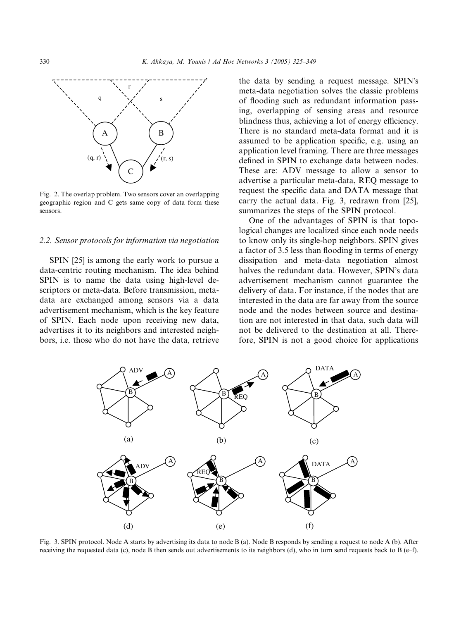

Fig. 2. The overlap problem. Two sensors cover an overlapping geographic region and C gets same copy of data form these sensors.

## 2.2. Sensor protocols for information via negotiation

SPIN [25] is among the early work to pursue a data-centric routing mechanism. The idea behind SPIN is to name the data using high-level descriptors or meta-data. Before transmission, metadata are exchanged among sensors via a data advertisement mechanism, which is the key feature of SPIN. Each node upon receiving new data, advertises it to its neighbors and interested neighbors, i.e. those who do not have the data, retrieve the data by sending a request message. SPIN's meta-data negotiation solves the classic problems of flooding such as redundant information passing, overlapping of sensing areas and resource blindness thus, achieving a lot of energy efficiency. There is no standard meta-data format and it is assumed to be application specific, e.g. using an application level framing. There are three messages defined in SPIN to exchange data between nodes. These are: ADV message to allow a sensor to advertise a particular meta-data, REQ message to request the specific data and DATA message that carry the actual data. Fig. 3, redrawn from [25], summarizes the steps of the SPIN protocol.

One of the advantages of SPIN is that topological changes are localized since each node needs to know only its single-hop neighbors. SPIN gives a factor of 3.5 less than flooding in terms of energy dissipation and meta-data negotiation almost halves the redundant data. However, SPIN's data advertisement mechanism cannot guarantee the delivery of data. For instance, if the nodes that are interested in the data are far away from the source node and the nodes between source and destination are not interested in that data, such data will not be delivered to the destination at all. Therefore, SPIN is not a good choice for applications



Fig. 3. SPIN protocol. Node A starts by advertising its data to node B (a). Node B responds by sending a request to node A (b). After receiving the requested data (c), node B then sends out advertisements to its neighbors (d), who in turn send requests back to B (e–f).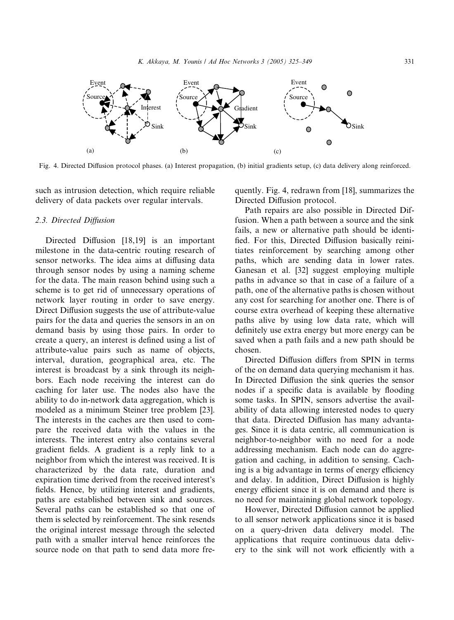

Fig. 4. Directed Diffusion protocol phases. (a) Interest propagation, (b) initial gradients setup, (c) data delivery along reinforced.

such as intrusion detection, which require reliable delivery of data packets over regular intervals.

## 2.3. Directed Diffusion

Directed Diffusion [18,19] is an important milestone in the data-centric routing research of sensor networks. The idea aims at diffusing data through sensor nodes by using a naming scheme for the data. The main reason behind using such a scheme is to get rid of unnecessary operations of network layer routing in order to save energy. Direct Diffusion suggests the use of attribute-value pairs for the data and queries the sensors in an on demand basis by using those pairs. In order to create a query, an interest is defined using a list of attribute-value pairs such as name of objects, interval, duration, geographical area, etc. The interest is broadcast by a sink through its neighbors. Each node receiving the interest can do caching for later use. The nodes also have the ability to do in-network data aggregation, which is modeled as a minimum Steiner tree problem [23]. The interests in the caches are then used to compare the received data with the values in the interests. The interest entry also contains several gradient fields. A gradient is a reply link to a neighbor from which the interest was received. It is characterized by the data rate, duration and expiration time derived from the received interest's fields. Hence, by utilizing interest and gradients, paths are established between sink and sources. Several paths can be established so that one of them is selected by reinforcement. The sink resends the original interest message through the selected path with a smaller interval hence reinforces the source node on that path to send data more frequently. Fig. 4, redrawn from [18], summarizes the Directed Diffusion protocol.

Path repairs are also possible in Directed Diffusion. When a path between a source and the sink fails, a new or alternative path should be identified. For this, Directed Diffusion basically reinitiates reinforcement by searching among other paths, which are sending data in lower rates. Ganesan et al. [32] suggest employing multiple paths in advance so that in case of a failure of a path, one of the alternative paths is chosen without any cost for searching for another one. There is of course extra overhead of keeping these alternative paths alive by using low data rate, which will definitely use extra energy but more energy can be saved when a path fails and a new path should be chosen.

Directed Diffusion differs from SPIN in terms of the on demand data querying mechanism it has. In Directed Diffusion the sink queries the sensor nodes if a specific data is available by flooding some tasks. In SPIN, sensors advertise the availability of data allowing interested nodes to query that data. Directed Diffusion has many advantages. Since it is data centric, all communication is neighbor-to-neighbor with no need for a node addressing mechanism. Each node can do aggregation and caching, in addition to sensing. Caching is a big advantage in terms of energy efficiency and delay. In addition, Direct Diffusion is highly energy efficient since it is on demand and there is no need for maintaining global network topology.

However, Directed Diffusion cannot be applied to all sensor network applications since it is based on a query-driven data delivery model. The applications that require continuous data delivery to the sink will not work efficiently with a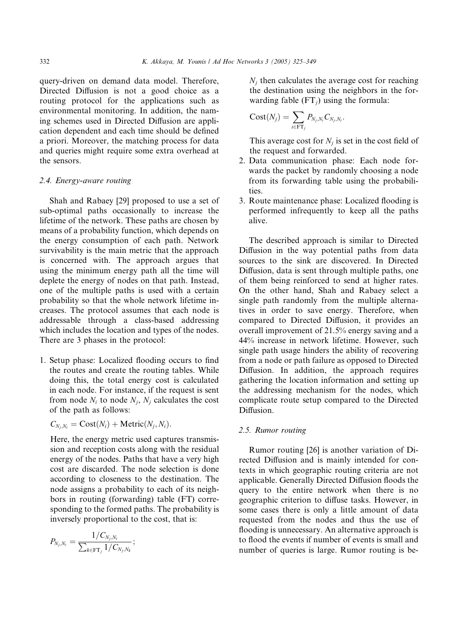query-driven on demand data model. Therefore, Directed Diffusion is not a good choice as a routing protocol for the applications such as environmental monitoring. In addition, the naming schemes used in Directed Diffusion are application dependent and each time should be defined a priori. Moreover, the matching process for data and queries might require some extra overhead at the sensors.

## 2.4. Energy-aware routing

Shah and Rabaey [29] proposed to use a set of sub-optimal paths occasionally to increase the lifetime of the network. These paths are chosen by means of a probability function, which depends on the energy consumption of each path. Network survivability is the main metric that the approach is concerned with. The approach argues that using the minimum energy path all the time will deplete the energy of nodes on that path. Instead, one of the multiple paths is used with a certain probability so that the whole network lifetime increases. The protocol assumes that each node is addressable through a class-based addressing which includes the location and types of the nodes. There are 3 phases in the protocol:

1. Setup phase: Localized flooding occurs to find the routes and create the routing tables. While doing this, the total energy cost is calculated in each node. For instance, if the request is sent from node  $N_i$  to node  $N_i$ ,  $N_i$  calculates the cost of the path as follows:

$$
C_{N_j,N_i} = \text{Cost}(N_i) + \text{Metric}(N_j,N_i).
$$

Here, the energy metric used captures transmission and reception costs along with the residual energy of the nodes. Paths that have a very high cost are discarded. The node selection is done according to closeness to the destination. The node assigns a probability to each of its neighbors in routing (forwarding) table (FT) corresponding to the formed paths. The probability is inversely proportional to the cost, that is:

$$
P_{N_j,N_i} = \frac{1/C_{N_j,N_i}}{\sum_{k \in \text{FT}_j} 1/C_{N_j,N_k}};
$$

 $N_i$  then calculates the average cost for reaching the destination using the neighbors in the forwarding fable  $(FT_i)$  using the formula:

$$
Cost(N_j) = \sum_{i \in \text{FT}_j} P_{N_j, N_i} C_{N_j, N_i}.
$$

This average cost for  $N_i$  is set in the cost field of the request and forwarded.

- 2. Data communication phase: Each node forwards the packet by randomly choosing a node from its forwarding table using the probabilities.
- 3. Route maintenance phase: Localized flooding is performed infrequently to keep all the paths alive.

The described approach is similar to Directed Diffusion in the way potential paths from data sources to the sink are discovered. In Directed Diffusion, data is sent through multiple paths, one of them being reinforced to send at higher rates. On the other hand, Shah and Rabaey select a single path randomly from the multiple alternatives in order to save energy. Therefore, when compared to Directed Diffusion, it provides an overall improvement of 21.5% energy saving and a 44% increase in network lifetime. However, such single path usage hinders the ability of recovering from a node or path failure as opposed to Directed Diffusion. In addition, the approach requires gathering the location information and setting up the addressing mechanism for the nodes, which complicate route setup compared to the Directed Diffusion.

## 2.5. Rumor routing

Rumor routing [26] is another variation of Directed Diffusion and is mainly intended for contexts in which geographic routing criteria are not applicable. Generally Directed Diffusion floods the query to the entire network when there is no geographic criterion to diffuse tasks. However, in some cases there is only a little amount of data requested from the nodes and thus the use of flooding is unnecessary. An alternative approach is to flood the events if number of events is small and number of queries is large. Rumor routing is be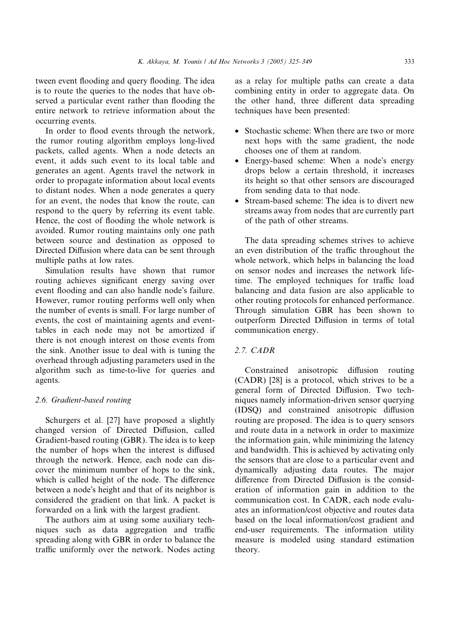tween event flooding and query flooding. The idea is to route the queries to the nodes that have observed a particular event rather than flooding the entire network to retrieve information about the occurring events.

In order to flood events through the network, the rumor routing algorithm employs long-lived packets, called agents. When a node detects an event, it adds such event to its local table and generates an agent. Agents travel the network in order to propagate information about local events to distant nodes. When a node generates a query for an event, the nodes that know the route, can respond to the query by referring its event table. Hence, the cost of flooding the whole network is avoided. Rumor routing maintains only one path between source and destination as opposed to Directed Diffusion where data can be sent through multiple paths at low rates.

Simulation results have shown that rumor routing achieves significant energy saving over event flooding and can also handle node's failure. However, rumor routing performs well only when the number of events is small. For large number of events, the cost of maintaining agents and eventtables in each node may not be amortized if there is not enough interest on those events from the sink. Another issue to deal with is tuning the overhead through adjusting parameters used in the algorithm such as time-to-live for queries and agents.

## 2.6. Gradient-based routing

Schurgers et al. [27] have proposed a slightly changed version of Directed Diffusion, called Gradient-based routing (GBR). The idea is to keep the number of hops when the interest is diffused through the network. Hence, each node can discover the minimum number of hops to the sink, which is called height of the node. The difference between a node's height and that of its neighbor is considered the gradient on that link. A packet is forwarded on a link with the largest gradient.

The authors aim at using some auxiliary techniques such as data aggregation and traffic spreading along with GBR in order to balance the traffic uniformly over the network. Nodes acting as a relay for multiple paths can create a data combining entity in order to aggregate data. On the other hand, three different data spreading techniques have been presented:

- Stochastic scheme: When there are two or more next hops with the same gradient, the node chooses one of them at random.
- Energy-based scheme: When a node's energy drops below a certain threshold, it increases its height so that other sensors are discouraged from sending data to that node.
- Stream-based scheme: The idea is to divert new streams away from nodes that are currently part of the path of other streams.

The data spreading schemes strives to achieve an even distribution of the traffic throughout the whole network, which helps in balancing the load on sensor nodes and increases the network lifetime. The employed techniques for traffic load balancing and data fusion are also applicable to other routing protocols for enhanced performance. Through simulation GBR has been shown to outperform Directed Diffusion in terms of total communication energy.

## 2.7. CADR

Constrained anisotropic diffusion routing (CADR) [28] is a protocol, which strives to be a general form of Directed Diffusion. Two techniques namely information-driven sensor querying (IDSQ) and constrained anisotropic diffusion routing are proposed. The idea is to query sensors and route data in a network in order to maximize the information gain, while minimizing the latency and bandwidth. This is achieved by activating only the sensors that are close to a particular event and dynamically adjusting data routes. The major difference from Directed Diffusion is the consideration of information gain in addition to the communication cost. In CADR, each node evaluates an information/cost objective and routes data based on the local information/cost gradient and end-user requirements. The information utility measure is modeled using standard estimation theory.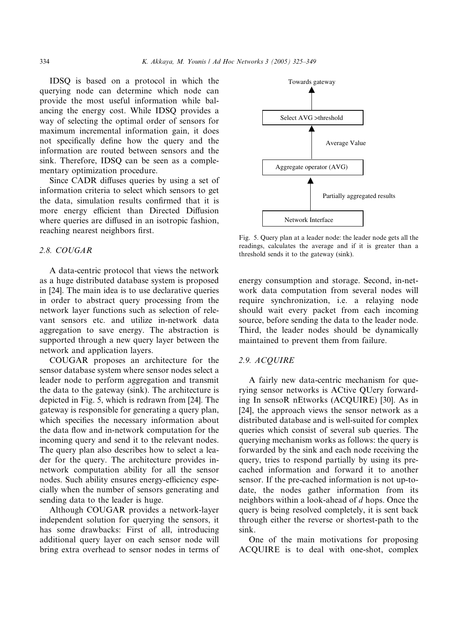IDSQ is based on a protocol in which the querying node can determine which node can provide the most useful information while balancing the energy cost. While IDSQ provides a way of selecting the optimal order of sensors for maximum incremental information gain, it does not specifically define how the query and the information are routed between sensors and the sink. Therefore, IDSQ can be seen as a complementary optimization procedure.

Since CADR diffuses queries by using a set of information criteria to select which sensors to get the data, simulation results confirmed that it is more energy efficient than Directed Diffusion where queries are diffused in an isotropic fashion, reaching nearest neighbors first.

# 2.8. COUGAR

A data-centric protocol that views the network as a huge distributed database system is proposed in [24]. The main idea is to use declarative queries in order to abstract query processing from the network layer functions such as selection of relevant sensors etc. and utilize in-network data aggregation to save energy. The abstraction is supported through a new query layer between the network and application layers.

COUGAR proposes an architecture for the sensor database system where sensor nodes select a leader node to perform aggregation and transmit the data to the gateway (sink). The architecture is depicted in Fig. 5, which is redrawn from [24]. The gateway is responsible for generating a query plan, which specifies the necessary information about the data flow and in-network computation for the incoming query and send it to the relevant nodes. The query plan also describes how to select a leader for the query. The architecture provides innetwork computation ability for all the sensor nodes. Such ability ensures energy-efficiency especially when the number of sensors generating and sending data to the leader is huge.

Although COUGAR provides a network-layer independent solution for querying the sensors, it has some drawbacks: First of all, introducing additional query layer on each sensor node will bring extra overhead to sensor nodes in terms of



Fig. 5. Query plan at a leader node: the leader node gets all the readings, calculates the average and if it is greater than a threshold sends it to the gateway (sink).

energy consumption and storage. Second, in-network data computation from several nodes will require synchronization, i.e. a relaying node should wait every packet from each incoming source, before sending the data to the leader node. Third, the leader nodes should be dynamically maintained to prevent them from failure.

## 2.9. ACQUIRE

A fairly new data-centric mechanism for querying sensor networks is ACtive QUery forwarding In sensoR nEtworks (ACQUIRE) [30]. As in [24], the approach views the sensor network as a distributed database and is well-suited for complex queries which consist of several sub queries. The querying mechanism works as follows: the query is forwarded by the sink and each node receiving the query, tries to respond partially by using its precached information and forward it to another sensor. If the pre-cached information is not up-todate, the nodes gather information from its neighbors within a look-ahead of d hops. Once the query is being resolved completely, it is sent back through either the reverse or shortest-path to the sink.

One of the main motivations for proposing ACQUIRE is to deal with one-shot, complex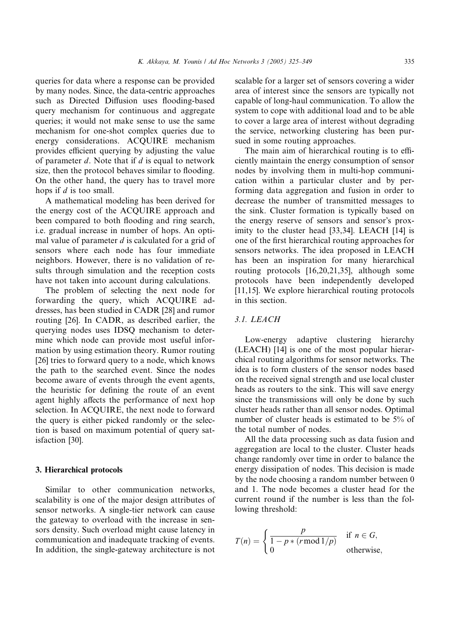queries for data where a response can be provided by many nodes. Since, the data-centric approaches such as Directed Diffusion uses flooding-based query mechanism for continuous and aggregate queries; it would not make sense to use the same mechanism for one-shot complex queries due to energy considerations. ACQUIRE mechanism provides efficient querying by adjusting the value of parameter  $d$ . Note that if  $d$  is equal to network size, then the protocol behaves similar to flooding. On the other hand, the query has to travel more hops if  $d$  is too small.

A mathematical modeling has been derived for the energy cost of the ACQUIRE approach and been compared to both flooding and ring search, i.e. gradual increase in number of hops. An optimal value of parameter  $d$  is calculated for a grid of sensors where each node has four immediate neighbors. However, there is no validation of results through simulation and the reception costs have not taken into account during calculations.

The problem of selecting the next node for forwarding the query, which ACQUIRE addresses, has been studied in CADR [28] and rumor routing [26]. In CADR, as described earlier, the querying nodes uses IDSQ mechanism to determine which node can provide most useful information by using estimation theory. Rumor routing [26] tries to forward query to a node, which knows the path to the searched event. Since the nodes become aware of events through the event agents, the heuristic for defining the route of an event agent highly affects the performance of next hop selection. In ACQUIRE, the next node to forward the query is either picked randomly or the selection is based on maximum potential of query satisfaction [30].

## 3. Hierarchical protocols

Similar to other communication networks, scalability is one of the major design attributes of sensor networks. A single-tier network can cause the gateway to overload with the increase in sensors density. Such overload might cause latency in communication and inadequate tracking of events. In addition, the single-gateway architecture is not

scalable for a larger set of sensors covering a wider area of interest since the sensors are typically not capable of long-haul communication. To allow the system to cope with additional load and to be able to cover a large area of interest without degrading the service, networking clustering has been pursued in some routing approaches.

The main aim of hierarchical routing is to efficiently maintain the energy consumption of sensor nodes by involving them in multi-hop communication within a particular cluster and by performing data aggregation and fusion in order to decrease the number of transmitted messages to the sink. Cluster formation is typically based on the energy reserve of sensors and sensor's proximity to the cluster head [33,34]. LEACH [14] is one of the first hierarchical routing approaches for sensors networks. The idea proposed in LEACH has been an inspiration for many hierarchical routing protocols [16,20,21,35], although some protocols have been independently developed [11,15]. We explore hierarchical routing protocols in this section.

## 3.1. LEACH

Low-energy adaptive clustering hierarchy (LEACH) [14] is one of the most popular hierarchical routing algorithms for sensor networks. The idea is to form clusters of the sensor nodes based on the received signal strength and use local cluster heads as routers to the sink. This will save energy since the transmissions will only be done by such cluster heads rather than all sensor nodes. Optimal number of cluster heads is estimated to be 5% of the total number of nodes.

All the data processing such as data fusion and aggregation are local to the cluster. Cluster heads change randomly over time in order to balance the energy dissipation of nodes. This decision is made by the node choosing a random number between 0 and 1. The node becomes a cluster head for the current round if the number is less than the following threshold:

$$
T(n) = \begin{cases} \frac{p}{1 - p * (r \mod 1/p)} & \text{if } n \in G, \\ 0 & \text{otherwise,} \end{cases}
$$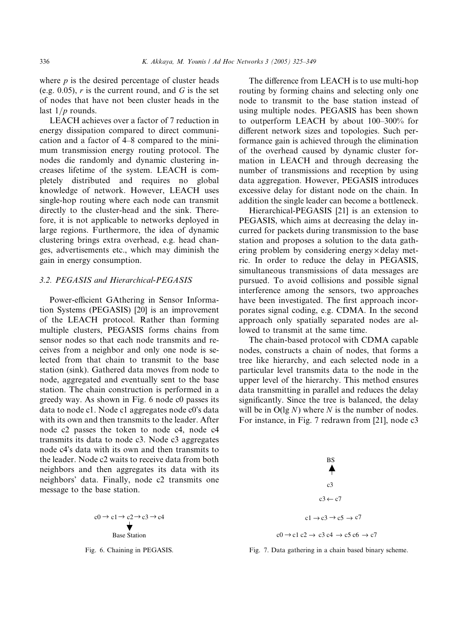where  $p$  is the desired percentage of cluster heads (e.g. 0.05),  $r$  is the current round, and  $G$  is the set of nodes that have not been cluster heads in the last  $1/p$  rounds.

LEACH achieves over a factor of 7 reduction in energy dissipation compared to direct communication and a factor of 4–8 compared to the minimum transmission energy routing protocol. The nodes die randomly and dynamic clustering increases lifetime of the system. LEACH is completely distributed and requires no global knowledge of network. However, LEACH uses single-hop routing where each node can transmit directly to the cluster-head and the sink. Therefore, it is not applicable to networks deployed in large regions. Furthermore, the idea of dynamic clustering brings extra overhead, e.g. head changes, advertisements etc., which may diminish the gain in energy consumption.

# 3.2. PEGASIS and Hierarchical-PEGASIS

Power-efficient GAthering in Sensor Information Systems (PEGASIS) [20] is an improvement of the LEACH protocol. Rather than forming multiple clusters, PEGASIS forms chains from sensor nodes so that each node transmits and receives from a neighbor and only one node is selected from that chain to transmit to the base station (sink). Gathered data moves from node to node, aggregated and eventually sent to the base station. The chain construction is performed in a greedy way. As shown in Fig. 6 node c0 passes its data to node c1. Node c1 aggregates node c0's data with its own and then transmits to the leader. After node c2 passes the token to node c4, node c4 transmits its data to node c3. Node c3 aggregates node c4's data with its own and then transmits to the leader. Node c2 waits to receive data from both neighbors and then aggregates its data with its neighbors' data. Finally, node c2 transmits one message to the base station.

> $c0 \rightarrow c1 \rightarrow c2 \rightarrow c3 \rightarrow c4$ ╈ Base Station

Fig. 6. Chaining in PEGASIS.

The difference from LEACH is to use multi-hop routing by forming chains and selecting only one node to transmit to the base station instead of using multiple nodes. PEGASIS has been shown to outperform LEACH by about 100–300% for different network sizes and topologies. Such performance gain is achieved through the elimination of the overhead caused by dynamic cluster formation in LEACH and through decreasing the number of transmissions and reception by using data aggregation. However, PEGASIS introduces excessive delay for distant node on the chain. In addition the single leader can become a bottleneck.

Hierarchical-PEGASIS [21] is an extension to PEGASIS, which aims at decreasing the delay incurred for packets during transmission to the base station and proposes a solution to the data gathering problem by considering energy $\times$  delay metric. In order to reduce the delay in PEGASIS, simultaneous transmissions of data messages are pursued. To avoid collisions and possible signal interference among the sensors, two approaches have been investigated. The first approach incorporates signal coding, e.g. CDMA. In the second approach only spatially separated nodes are allowed to transmit at the same time.

The chain-based protocol with CDMA capable nodes, constructs a chain of nodes, that forms a tree like hierarchy, and each selected node in a particular level transmits data to the node in the upper level of the hierarchy. This method ensures data transmitting in parallel and reduces the delay significantly. Since the tree is balanced, the delay will be in  $O(\lg N)$  where N is the number of nodes. For instance, in Fig. 7 redrawn from [21], node c3



Fig. 7. Data gathering in a chain based binary scheme.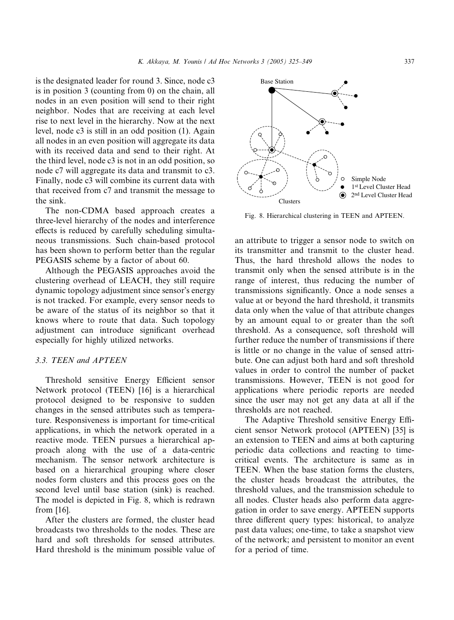is the designated leader for round 3. Since, node c3 is in position 3 (counting from 0) on the chain, all nodes in an even position will send to their right neighbor. Nodes that are receiving at each level rise to next level in the hierarchy. Now at the next level, node c3 is still in an odd position (1). Again all nodes in an even position will aggregate its data with its received data and send to their right. At the third level, node c3 is not in an odd position, so node c7 will aggregate its data and transmit to c3. Finally, node c3 will combine its current data with that received from c7 and transmit the message to the sink.

The non-CDMA based approach creates a three-level hierarchy of the nodes and interference effects is reduced by carefully scheduling simultaneous transmissions. Such chain-based protocol has been shown to perform better than the regular PEGASIS scheme by a factor of about 60.

Although the PEGASIS approaches avoid the clustering overhead of LEACH, they still require dynamic topology adjustment since sensor's energy is not tracked. For example, every sensor needs to be aware of the status of its neighbor so that it knows where to route that data. Such topology adjustment can introduce significant overhead especially for highly utilized networks.

# 3.3. TEEN and APTEEN

Threshold sensitive Energy Efficient sensor Network protocol (TEEN) [16] is a hierarchical protocol designed to be responsive to sudden changes in the sensed attributes such as temperature. Responsiveness is important for time-critical applications, in which the network operated in a reactive mode. TEEN pursues a hierarchical approach along with the use of a data-centric mechanism. The sensor network architecture is based on a hierarchical grouping where closer nodes form clusters and this process goes on the second level until base station (sink) is reached. The model is depicted in Fig. 8, which is redrawn from [16].

After the clusters are formed, the cluster head broadcasts two thresholds to the nodes. These are hard and soft thresholds for sensed attributes. Hard threshold is the minimum possible value of



Fig. 8. Hierarchical clustering in TEEN and APTEEN.

an attribute to trigger a sensor node to switch on its transmitter and transmit to the cluster head. Thus, the hard threshold allows the nodes to transmit only when the sensed attribute is in the range of interest, thus reducing the number of transmissions significantly. Once a node senses a value at or beyond the hard threshold, it transmits data only when the value of that attribute changes by an amount equal to or greater than the soft threshold. As a consequence, soft threshold will further reduce the number of transmissions if there is little or no change in the value of sensed attribute. One can adjust both hard and soft threshold values in order to control the number of packet transmissions. However, TEEN is not good for applications where periodic reports are needed since the user may not get any data at all if the thresholds are not reached.

The Adaptive Threshold sensitive Energy Efficient sensor Network protocol (APTEEN) [35] is an extension to TEEN and aims at both capturing periodic data collections and reacting to timecritical events. The architecture is same as in TEEN. When the base station forms the clusters, the cluster heads broadcast the attributes, the threshold values, and the transmission schedule to all nodes. Cluster heads also perform data aggregation in order to save energy. APTEEN supports three different query types: historical, to analyze past data values; one-time, to take a snapshot view of the network; and persistent to monitor an event for a period of time.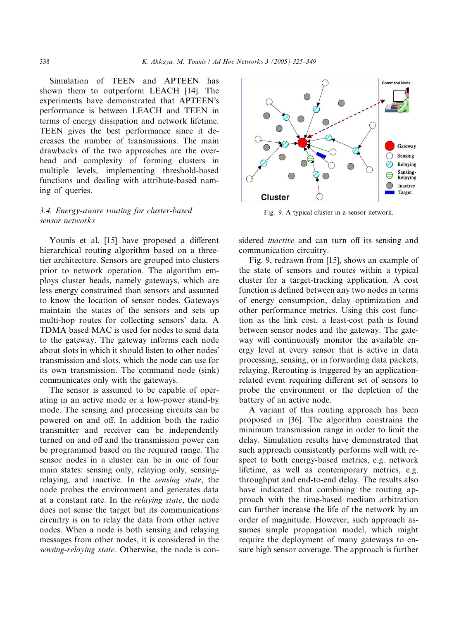Simulation of TEEN and APTEEN has shown them to outperform LEACH [14]. The experiments have demonstrated that APTEEN's performance is between LEACH and TEEN in terms of energy dissipation and network lifetime. TEEN gives the best performance since it decreases the number of transmissions. The main drawbacks of the two approaches are the overhead and complexity of forming clusters in multiple levels, implementing threshold-based functions and dealing with attribute-based naming of queries.

# 3.4. Energy-aware routing for cluster-based sensor networks

Younis et al. [15] have proposed a different hierarchical routing algorithm based on a threetier architecture. Sensors are grouped into clusters prior to network operation. The algorithm employs cluster heads, namely gateways, which are less energy constrained than sensors and assumed to know the location of sensor nodes. Gateways maintain the states of the sensors and sets up multi-hop routes for collecting sensors' data. A TDMA based MAC is used for nodes to send data to the gateway. The gateway informs each node about slots in which it should listen to other nodes transmission and slots, which the node can use for its own transmission. The command node (sink) communicates only with the gateways.

The sensor is assumed to be capable of operating in an active mode or a low-power stand-by mode. The sensing and processing circuits can be powered on and off. In addition both the radio transmitter and receiver can be independently turned on and off and the transmission power can be programmed based on the required range. The sensor nodes in a cluster can be in one of four main states: sensing only, relaying only, sensingrelaying, and inactive. In the sensing state, the node probes the environment and generates data at a constant rate. In the relaying state, the node does not sense the target but its communications circuitry is on to relay the data from other active nodes. When a node is both sensing and relaying messages from other nodes, it is considered in the sensing-relaying state. Otherwise, the node is con-



Fig. 9. A typical cluster in a sensor network.

sidered inactive and can turn off its sensing and communication circuitry.

Fig. 9, redrawn from [15], shows an example of the state of sensors and routes within a typical cluster for a target-tracking application. A cost function is defined between any two nodes in terms of energy consumption, delay optimization and other performance metrics. Using this cost function as the link cost, a least-cost path is found between sensor nodes and the gateway. The gateway will continuously monitor the available energy level at every sensor that is active in data processing, sensing, or in forwarding data packets, relaying. Rerouting is triggered by an applicationrelated event requiring different set of sensors to probe the environment or the depletion of the battery of an active node.

A variant of this routing approach has been proposed in [36]. The algorithm constrains the minimum transmission range in order to limit the delay. Simulation results have demonstrated that such approach consistently performs well with respect to both energy-based metrics, e.g. network lifetime, as well as contemporary metrics, e.g. throughput and end-to-end delay. The results also have indicated that combining the routing approach with the time-based medium arbitration can further increase the life of the network by an order of magnitude. However, such approach assumes simple propagation model, which might require the deployment of many gateways to ensure high sensor coverage. The approach is further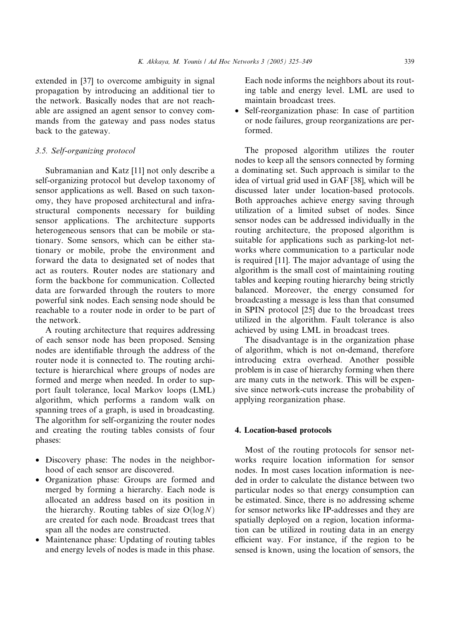extended in [37] to overcome ambiguity in signal propagation by introducing an additional tier to the network. Basically nodes that are not reachable are assigned an agent sensor to convey commands from the gateway and pass nodes status back to the gateway.

# 3.5. Self-organizing protocol

Subramanian and Katz [11] not only describe a self-organizing protocol but develop taxonomy of sensor applications as well. Based on such taxonomy, they have proposed architectural and infrastructural components necessary for building sensor applications. The architecture supports heterogeneous sensors that can be mobile or stationary. Some sensors, which can be either stationary or mobile, probe the environment and forward the data to designated set of nodes that act as routers. Router nodes are stationary and form the backbone for communication. Collected data are forwarded through the routers to more powerful sink nodes. Each sensing node should be reachable to a router node in order to be part of the network.

A routing architecture that requires addressing of each sensor node has been proposed. Sensing nodes are identifiable through the address of the router node it is connected to. The routing architecture is hierarchical where groups of nodes are formed and merge when needed. In order to support fault tolerance, local Markov loops (LML) algorithm, which performs a random walk on spanning trees of a graph, is used in broadcasting. The algorithm for self-organizing the router nodes and creating the routing tables consists of four phases:

- Discovery phase: The nodes in the neighborhood of each sensor are discovered.
- Organization phase: Groups are formed and merged by forming a hierarchy. Each node is allocated an address based on its position in the hierarchy. Routing tables of size  $O(log N)$ are created for each node. Broadcast trees that span all the nodes are constructed.
- Maintenance phase: Updating of routing tables and energy levels of nodes is made in this phase.

Each node informs the neighbors about its routing table and energy level. LML are used to maintain broadcast trees.

• Self-reorganization phase: In case of partition or node failures, group reorganizations are performed.

The proposed algorithm utilizes the router nodes to keep all the sensors connected by forming a dominating set. Such approach is similar to the idea of virtual grid used in GAF [38], which will be discussed later under location-based protocols. Both approaches achieve energy saving through utilization of a limited subset of nodes. Since sensor nodes can be addressed individually in the routing architecture, the proposed algorithm is suitable for applications such as parking-lot networks where communication to a particular node is required [11]. The major advantage of using the algorithm is the small cost of maintaining routing tables and keeping routing hierarchy being strictly balanced. Moreover, the energy consumed for broadcasting a message is less than that consumed in SPIN protocol [25] due to the broadcast trees utilized in the algorithm. Fault tolerance is also achieved by using LML in broadcast trees.

The disadvantage is in the organization phase of algorithm, which is not on-demand, therefore introducing extra overhead. Another possible problem is in case of hierarchy forming when there are many cuts in the network. This will be expensive since network-cuts increase the probability of applying reorganization phase.

#### 4. Location-based protocols

Most of the routing protocols for sensor networks require location information for sensor nodes. In most cases location information is needed in order to calculate the distance between two particular nodes so that energy consumption can be estimated. Since, there is no addressing scheme for sensor networks like IP-addresses and they are spatially deployed on a region, location information can be utilized in routing data in an energy efficient way. For instance, if the region to be sensed is known, using the location of sensors, the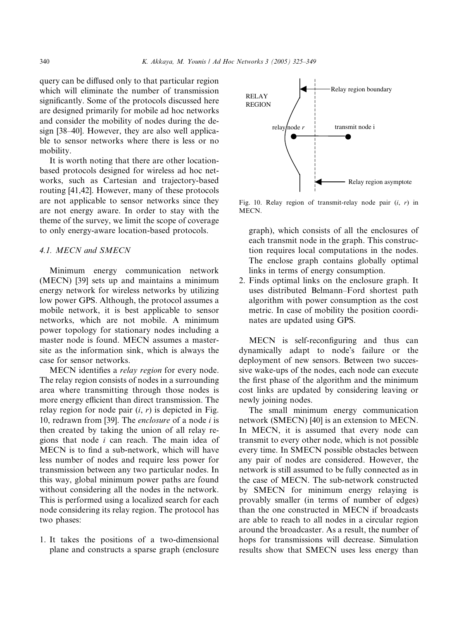query can be diffused only to that particular region which will eliminate the number of transmission significantly. Some of the protocols discussed here are designed primarily for mobile ad hoc networks and consider the mobility of nodes during the design [38–40]. However, they are also well applicable to sensor networks where there is less or no mobility.

It is worth noting that there are other locationbased protocols designed for wireless ad hoc networks, such as Cartesian and trajectory-based routing [41,42]. However, many of these protocols are not applicable to sensor networks since they are not energy aware. In order to stay with the theme of the survey, we limit the scope of coverage to only energy-aware location-based protocols.

# 4.1. MECN and SMECN

Minimum energy communication network (MECN) [39] sets up and maintains a minimum energy network for wireless networks by utilizing low power GPS. Although, the protocol assumes a mobile network, it is best applicable to sensor networks, which are not mobile. A minimum power topology for stationary nodes including a master node is found. MECN assumes a mastersite as the information sink, which is always the case for sensor networks.

MECN identifies a relay region for every node. The relay region consists of nodes in a surrounding area where transmitting through those nodes is more energy efficient than direct transmission. The relay region for node pair  $(i, r)$  is depicted in Fig. 10, redrawn from [39]. The enclosure of a node  $i$  is then created by taking the union of all relay regions that node i can reach. The main idea of MECN is to find a sub-network, which will have less number of nodes and require less power for transmission between any two particular nodes. In this way, global minimum power paths are found without considering all the nodes in the network. This is performed using a localized search for each node considering its relay region. The protocol has two phases:

1. It takes the positions of a two-dimensional plane and constructs a sparse graph (enclosure



Fig. 10. Relay region of transmit-relay node pair  $(i, r)$  in MECN.

graph), which consists of all the enclosures of each transmit node in the graph. This construction requires local computations in the nodes. The enclose graph contains globally optimal links in terms of energy consumption.

2. Finds optimal links on the enclosure graph. It uses distributed Belmann–Ford shortest path algorithm with power consumption as the cost metric. In case of mobility the position coordinates are updated using GPS.

MECN is self-reconfiguring and thus can dynamically adapt to node's failure or the deployment of new sensors. Between two successive wake-ups of the nodes, each node can execute the first phase of the algorithm and the minimum cost links are updated by considering leaving or newly joining nodes.

The small minimum energy communication network (SMECN) [40] is an extension to MECN. In MECN, it is assumed that every node can transmit to every other node, which is not possible every time. In SMECN possible obstacles between any pair of nodes are considered. However, the network is still assumed to be fully connected as in the case of MECN. The sub-network constructed by SMECN for minimum energy relaying is provably smaller (in terms of number of edges) than the one constructed in MECN if broadcasts are able to reach to all nodes in a circular region around the broadcaster. As a result, the number of hops for transmissions will decrease. Simulation results show that SMECN uses less energy than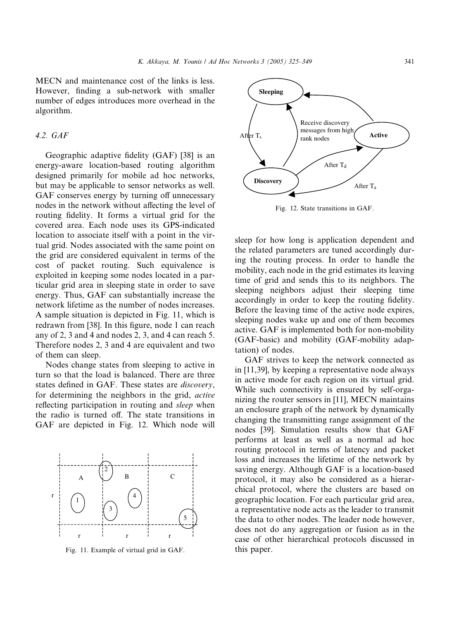MECN and maintenance cost of the links is less. However, finding a sub-network with smaller number of edges introduces more overhead in the algorithm.

# 4.2. GAF

Geographic adaptive fidelity (GAF) [38] is an energy-aware location-based routing algorithm designed primarily for mobile ad hoc networks, but may be applicable to sensor networks as well. GAF conserves energy by turning off unnecessary nodes in the network without affecting the level of routing fidelity. It forms a virtual grid for the covered area. Each node uses its GPS-indicated location to associate itself with a point in the virtual grid. Nodes associated with the same point on the grid are considered equivalent in terms of the cost of packet routing. Such equivalence is exploited in keeping some nodes located in a particular grid area in sleeping state in order to save energy. Thus, GAF can substantially increase the network lifetime as the number of nodes increases. A sample situation is depicted in Fig. 11, which is redrawn from [38]. In this figure, node 1 can reach any of 2, 3 and 4 and nodes 2, 3, and 4 can reach 5. Therefore nodes 2, 3 and 4 are equivalent and two of them can sleep.

Nodes change states from sleeping to active in turn so that the load is balanced. There are three states defined in GAF. These states are discovery, for determining the neighbors in the grid, active reflecting participation in routing and *sleep* when the radio is turned off. The state transitions in GAF are depicted in Fig. 12. Which node will



Fig. 11. Example of virtual grid in GAF.



Fig. 12. State transitions in GAF.

sleep for how long is application dependent and the related parameters are tuned accordingly during the routing process. In order to handle the mobility, each node in the grid estimates its leaving time of grid and sends this to its neighbors. The sleeping neighbors adjust their sleeping time accordingly in order to keep the routing fidelity. Before the leaving time of the active node expires, sleeping nodes wake up and one of them becomes active. GAF is implemented both for non-mobility (GAF-basic) and mobility (GAF-mobility adaptation) of nodes.

GAF strives to keep the network connected as in [11,39], by keeping a representative node always in active mode for each region on its virtual grid. While such connectivity is ensured by self-organizing the router sensors in [11], MECN maintains an enclosure graph of the network by dynamically changing the transmitting range assignment of the nodes [39]. Simulation results show that GAF performs at least as well as a normal ad hoc routing protocol in terms of latency and packet loss and increases the lifetime of the network by saving energy. Although GAF is a location-based protocol, it may also be considered as a hierarchical protocol, where the clusters are based on geographic location. For each particular grid area, a representative node acts as the leader to transmit the data to other nodes. The leader node however, does not do any aggregation or fusion as in the case of other hierarchical protocols discussed in this paper.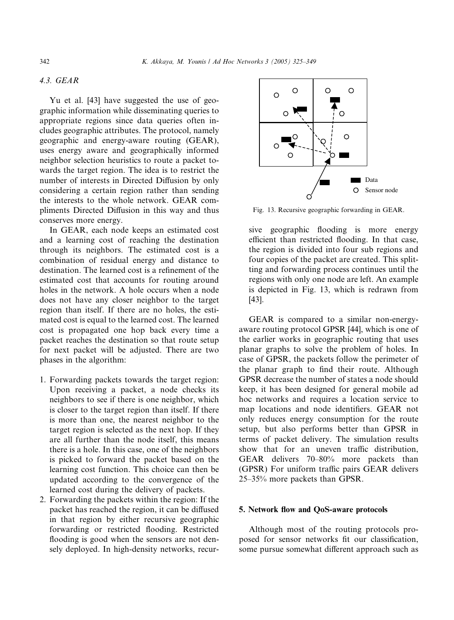# 4.3. GEAR

Yu et al. [43] have suggested the use of geographic information while disseminating queries to appropriate regions since data queries often includes geographic attributes. The protocol, namely geographic and energy-aware routing (GEAR), uses energy aware and geographically informed neighbor selection heuristics to route a packet towards the target region. The idea is to restrict the number of interests in Directed Diffusion by only considering a certain region rather than sending the interests to the whole network. GEAR compliments Directed Diffusion in this way and thus conserves more energy.

In GEAR, each node keeps an estimated cost and a learning cost of reaching the destination through its neighbors. The estimated cost is a combination of residual energy and distance to destination. The learned cost is a refinement of the estimated cost that accounts for routing around holes in the network. A hole occurs when a node does not have any closer neighbor to the target region than itself. If there are no holes, the estimated cost is equal to the learned cost. The learned cost is propagated one hop back every time a packet reaches the destination so that route setup for next packet will be adjusted. There are two phases in the algorithm:

- 1. Forwarding packets towards the target region: Upon receiving a packet, a node checks its neighbors to see if there is one neighbor, which is closer to the target region than itself. If there is more than one, the nearest neighbor to the target region is selected as the next hop. If they are all further than the node itself, this means there is a hole. In this case, one of the neighbors is picked to forward the packet based on the learning cost function. This choice can then be updated according to the convergence of the learned cost during the delivery of packets.
- 2. Forwarding the packets within the region: If the packet has reached the region, it can be diffused in that region by either recursive geographic forwarding or restricted flooding. Restricted flooding is good when the sensors are not densely deployed. In high-density networks, recur-



Fig. 13. Recursive geographic forwarding in GEAR.

sive geographic flooding is more energy efficient than restricted flooding. In that case, the region is divided into four sub regions and four copies of the packet are created. This splitting and forwarding process continues until the regions with only one node are left. An example is depicted in Fig. 13, which is redrawn from [43].

GEAR is compared to a similar non-energyaware routing protocol GPSR [44], which is one of the earlier works in geographic routing that uses planar graphs to solve the problem of holes. In case of GPSR, the packets follow the perimeter of the planar graph to find their route. Although GPSR decrease the number of states a node should keep, it has been designed for general mobile ad hoc networks and requires a location service to map locations and node identifiers. GEAR not only reduces energy consumption for the route setup, but also performs better than GPSR in terms of packet delivery. The simulation results show that for an uneven traffic distribution, GEAR delivers 70–80% more packets than (GPSR) For uniform traffic pairs GEAR delivers 25–35% more packets than GPSR.

## 5. Network flow and QoS-aware protocols

Although most of the routing protocols proposed for sensor networks fit our classification, some pursue somewhat different approach such as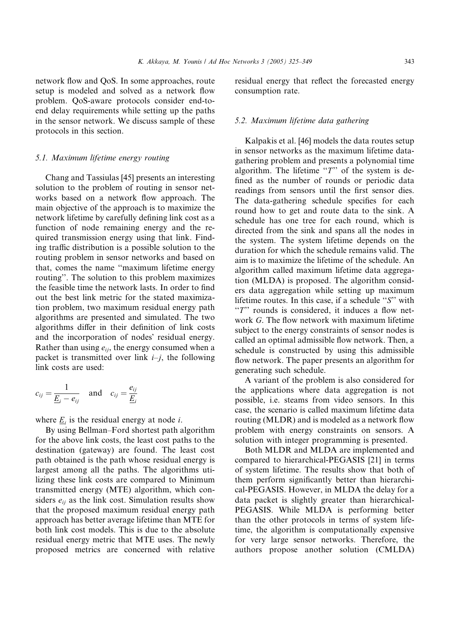network flow and QoS. In some approaches, route setup is modeled and solved as a network flow problem. QoS-aware protocols consider end-toend delay requirements while setting up the paths in the sensor network. We discuss sample of these protocols in this section.

#### 5.1. Maximum lifetime energy routing

Chang and Tassiulas [45] presents an interesting solution to the problem of routing in sensor networks based on a network flow approach. The main objective of the approach is to maximize the network lifetime by carefully defining link cost as a function of node remaining energy and the required transmission energy using that link. Finding traffic distribution is a possible solution to the routing problem in sensor networks and based on that, comes the name ''maximum lifetime energy routing''. The solution to this problem maximizes the feasible time the network lasts. In order to find out the best link metric for the stated maximization problem, two maximum residual energy path algorithms are presented and simulated. The two algorithms differ in their definition of link costs and the incorporation of nodes' residual energy. Rather than using  $e_{ij}$ , the energy consumed when a packet is transmitted over link i*–*j, the following link costs are used:

$$
c_{ij} = \frac{1}{\underline{E}_i - e_{ij}} \quad \text{and} \quad c_{ij} = \frac{e_{ij}}{\underline{E}_i}
$$

where  $\underline{E}_i$  is the residual energy at node *i*.

By using Bellman–Ford shortest path algorithm for the above link costs, the least cost paths to the destination (gateway) are found. The least cost path obtained is the path whose residual energy is largest among all the paths. The algorithms utilizing these link costs are compared to Minimum transmitted energy (MTE) algorithm, which considers  $e_{ii}$  as the link cost. Simulation results show that the proposed maximum residual energy path approach has better average lifetime than MTE for both link cost models. This is due to the absolute residual energy metric that MTE uses. The newly proposed metrics are concerned with relative residual energy that reflect the forecasted energy consumption rate.

## 5.2. Maximum lifetime data gathering

Kalpakis et al. [46] models the data routes setup in sensor networks as the maximum lifetime datagathering problem and presents a polynomial time algorithm. The lifetime " $T$ " of the system is defined as the number of rounds or periodic data readings from sensors until the first sensor dies. The data-gathering schedule specifies for each round how to get and route data to the sink. A schedule has one tree for each round, which is directed from the sink and spans all the nodes in the system. The system lifetime depends on the duration for which the schedule remains valid. The aim is to maximize the lifetime of the schedule. An algorithm called maximum lifetime data aggregation (MLDA) is proposed. The algorithm considers data aggregation while setting up maximum lifetime routes. In this case, if a schedule ''S'' with " $T$ " rounds is considered, it induces a flow network G. The flow network with maximum lifetime subject to the energy constraints of sensor nodes is called an optimal admissible flow network. Then, a schedule is constructed by using this admissible flow network. The paper presents an algorithm for generating such schedule.

A variant of the problem is also considered for the applications where data aggregation is not possible, i.e. steams from video sensors. In this case, the scenario is called maximum lifetime data routing (MLDR) and is modeled as a network flow problem with energy constraints on sensors. A solution with integer programming is presented.

Both MLDR and MLDA are implemented and compared to hierarchical-PEGASIS [21] in terms of system lifetime. The results show that both of them perform significantly better than hierarchical-PEGASIS. However, in MLDA the delay for a data packet is slightly greater than hierarchical-PEGASIS. While MLDA is performing better than the other protocols in terms of system lifetime, the algorithm is computationally expensive for very large sensor networks. Therefore, the authors propose another solution (CMLDA)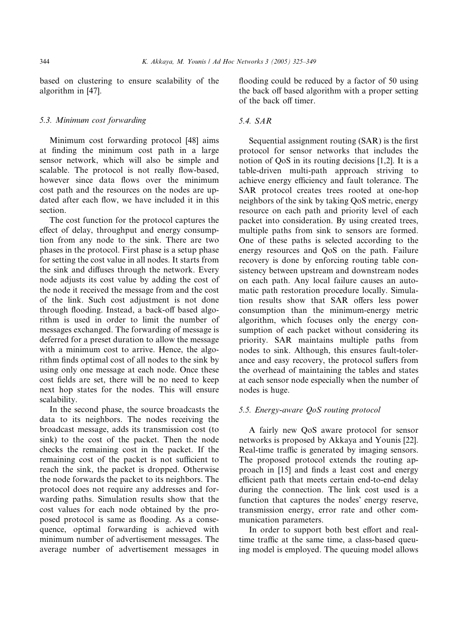based on clustering to ensure scalability of the algorithm in [47].

## 5.3. Minimum cost forwarding

Minimum cost forwarding protocol [48] aims at finding the minimum cost path in a large sensor network, which will also be simple and scalable. The protocol is not really flow-based, however since data flows over the minimum cost path and the resources on the nodes are updated after each flow, we have included it in this section.

The cost function for the protocol captures the effect of delay, throughput and energy consumption from any node to the sink. There are two phases in the protocol. First phase is a setup phase for setting the cost value in all nodes. It starts from the sink and diffuses through the network. Every node adjusts its cost value by adding the cost of the node it received the message from and the cost of the link. Such cost adjustment is not done through flooding. Instead, a back-off based algorithm is used in order to limit the number of messages exchanged. The forwarding of message is deferred for a preset duration to allow the message with a minimum cost to arrive. Hence, the algorithm finds optimal cost of all nodes to the sink by using only one message at each node. Once these cost fields are set, there will be no need to keep next hop states for the nodes. This will ensure scalability.

In the second phase, the source broadcasts the data to its neighbors. The nodes receiving the broadcast message, adds its transmission cost (to sink) to the cost of the packet. Then the node checks the remaining cost in the packet. If the remaining cost of the packet is not sufficient to reach the sink, the packet is dropped. Otherwise the node forwards the packet to its neighbors. The protocol does not require any addresses and forwarding paths. Simulation results show that the cost values for each node obtained by the proposed protocol is same as flooding. As a consequence, optimal forwarding is achieved with minimum number of advertisement messages. The average number of advertisement messages in flooding could be reduced by a factor of 50 using the back off based algorithm with a proper setting of the back off timer.

## 5.4. SAR

Sequential assignment routing (SAR) is the first protocol for sensor networks that includes the notion of QoS in its routing decisions [1,2]. It is a table-driven multi-path approach striving to achieve energy efficiency and fault tolerance. The SAR protocol creates trees rooted at one-hop neighbors of the sink by taking QoS metric, energy resource on each path and priority level of each packet into consideration. By using created trees, multiple paths from sink to sensors are formed. One of these paths is selected according to the energy resources and QoS on the path. Failure recovery is done by enforcing routing table consistency between upstream and downstream nodes on each path. Any local failure causes an automatic path restoration procedure locally. Simulation results show that SAR offers less power consumption than the minimum-energy metric algorithm, which focuses only the energy consumption of each packet without considering its priority. SAR maintains multiple paths from nodes to sink. Although, this ensures fault-tolerance and easy recovery, the protocol suffers from the overhead of maintaining the tables and states at each sensor node especially when the number of nodes is huge.

# 5.5. Energy-aware QoS routing protocol

A fairly new QoS aware protocol for sensor networks is proposed by Akkaya and Younis [22]. Real-time traffic is generated by imaging sensors. The proposed protocol extends the routing approach in [15] and finds a least cost and energy efficient path that meets certain end-to-end delay during the connection. The link cost used is a function that captures the nodes' energy reserve, transmission energy, error rate and other communication parameters.

In order to support both best effort and realtime traffic at the same time, a class-based queuing model is employed. The queuing model allows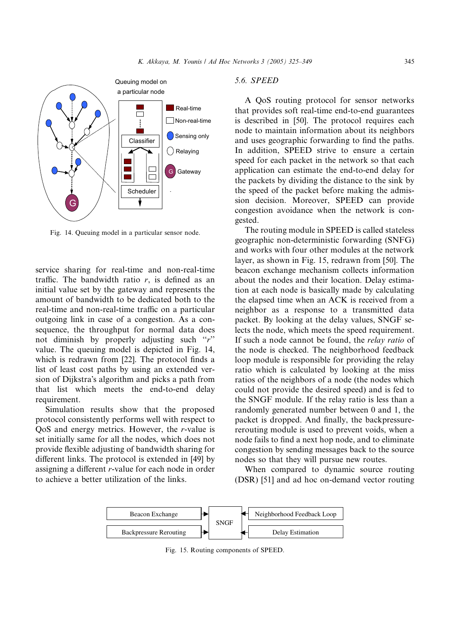

Fig. 14. Queuing model in a particular sensor node.

service sharing for real-time and non-real-time traffic. The bandwidth ratio  $r$ , is defined as an initial value set by the gateway and represents the amount of bandwidth to be dedicated both to the real-time and non-real-time traffic on a particular outgoing link in case of a congestion. As a consequence, the throughput for normal data does not diminish by properly adjusting such "r" value. The queuing model is depicted in Fig. 14, which is redrawn from [22]. The protocol finds a list of least cost paths by using an extended version of Dijkstra's algorithm and picks a path from that list which meets the end-to-end delay requirement.

Simulation results show that the proposed protocol consistently performs well with respect to QoS and energy metrics. However, the r-value is set initially same for all the nodes, which does not provide flexible adjusting of bandwidth sharing for different links. The protocol is extended in [49] by assigning a different r-value for each node in order to achieve a better utilization of the links.

## 5.6. SPEED

A QoS routing protocol for sensor networks that provides soft real-time end-to-end guarantees is described in [50]. The protocol requires each node to maintain information about its neighbors and uses geographic forwarding to find the paths. In addition, SPEED strive to ensure a certain speed for each packet in the network so that each application can estimate the end-to-end delay for the packets by dividing the distance to the sink by the speed of the packet before making the admission decision. Moreover, SPEED can provide congestion avoidance when the network is congested.

The routing module in SPEED is called stateless geographic non-deterministic forwarding (SNFG) and works with four other modules at the network layer, as shown in Fig. 15, redrawn from [50]. The beacon exchange mechanism collects information about the nodes and their location. Delay estimation at each node is basically made by calculating the elapsed time when an ACK is received from a neighbor as a response to a transmitted data packet. By looking at the delay values, SNGF selects the node, which meets the speed requirement. If such a node cannot be found, the relay ratio of the node is checked. The neighborhood feedback loop module is responsible for providing the relay ratio which is calculated by looking at the miss ratios of the neighbors of a node (the nodes which could not provide the desired speed) and is fed to the SNGF module. If the relay ratio is less than a randomly generated number between 0 and 1, the packet is dropped. And finally, the backpressurererouting module is used to prevent voids, when a node fails to find a next hop node, and to eliminate congestion by sending messages back to the source nodes so that they will pursue new routes.

When compared to dynamic source routing (DSR) [51] and ad hoc on-demand vector routing



Fig. 15. Routing components of SPEED.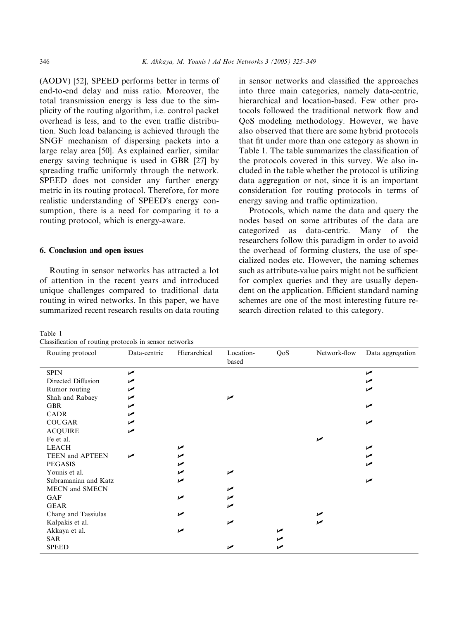(AODV) [52], SPEED performs better in terms of end-to-end delay and miss ratio. Moreover, the total transmission energy is less due to the simplicity of the routing algorithm, i.e. control packet overhead is less, and to the even traffic distribution. Such load balancing is achieved through the SNGF mechanism of dispersing packets into a large relay area [50]. As explained earlier, similar energy saving technique is used in GBR [27] by spreading traffic uniformly through the network. SPEED does not consider any further energy metric in its routing protocol. Therefore, for more realistic understanding of SPEED's energy consumption, there is a need for comparing it to a routing protocol, which is energy-aware.

## 6. Conclusion and open issues

Routing in sensor networks has attracted a lot of attention in the recent years and introduced unique challenges compared to traditional data routing in wired networks. In this paper, we have summarized recent research results on data routing

Table 1 Classification of routing protocols in sensor networks

in sensor networks and classified the approaches into three main categories, namely data-centric, hierarchical and location-based. Few other protocols followed the traditional network flow and QoS modeling methodology. However, we have also observed that there are some hybrid protocols that fit under more than one category as shown in Table 1. The table summarizes the classification of the protocols covered in this survey. We also included in the table whether the protocol is utilizing data aggregation or not, since it is an important consideration for routing protocols in terms of energy saving and traffic optimization.

Protocols, which name the data and query the nodes based on some attributes of the data are categorized as data-centric. Many of the researchers follow this paradigm in order to avoid the overhead of forming clusters, the use of specialized nodes etc. However, the naming schemes such as attribute-value pairs might not be sufficient for complex queries and they are usually dependent on the application. Efficient standard naming schemes are one of the most interesting future research direction related to this category.

| Routing protocol             | Data-centric | Hierarchical | Location-<br>based | QoS | Network-flow | Data aggregation |
|------------------------------|--------------|--------------|--------------------|-----|--------------|------------------|
| <b>SPIN</b>                  | مما          |              |                    |     |              | مما              |
| Directed Diffusion           | مما          |              |                    |     |              | مما              |
| Rumor routing                | مما          |              |                    |     |              | مما              |
| Shah and Rabaey              | مما          |              | مما                |     |              |                  |
| <b>GBR</b>                   | مما          |              |                    |     |              | مما              |
| <b>CADR</b>                  | مما          |              |                    |     |              |                  |
| <b>COUGAR</b>                | مما          |              |                    |     |              | مما              |
| <b>ACQUIRE</b>               | مما          |              |                    |     |              |                  |
| Fe et al.                    |              |              |                    |     | مما          |                  |
| <b>LEACH</b>                 |              | مما          |                    |     |              | مما              |
| TEEN and APTEEN              | مما          | حرا          |                    |     |              | مما              |
| <b>PEGASIS</b>               |              | مرا          |                    |     |              | مما              |
| Younis et al.                |              | مم           | مما                |     |              |                  |
| Subramanian and Katz         |              | مم           |                    |     |              | مما              |
| <b>MECN</b> and <b>SMECN</b> |              |              |                    |     |              |                  |
| <b>GAF</b>                   |              | مما          |                    |     |              |                  |
| <b>GEAR</b>                  |              |              | مما                |     |              |                  |
| Chang and Tassiulas          |              | مم           |                    |     | مما          |                  |
| Kalpakis et al.              |              |              | مما                |     | مما          |                  |
| Akkaya et al.                |              | مم           |                    |     |              |                  |
| <b>SAR</b>                   |              |              |                    |     |              |                  |
| <b>SPEED</b>                 |              |              |                    |     |              |                  |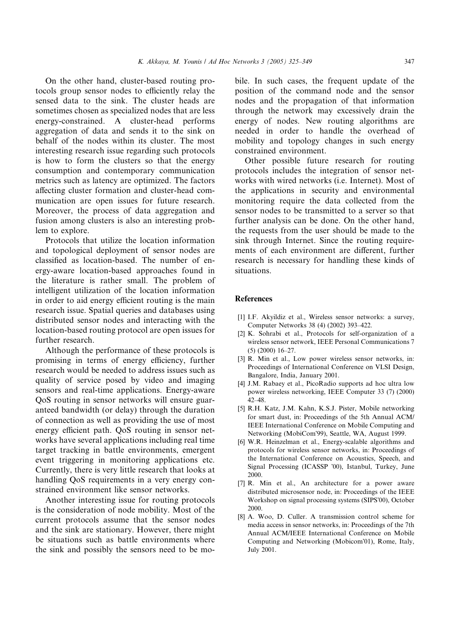On the other hand, cluster-based routing protocols group sensor nodes to efficiently relay the sensed data to the sink. The cluster heads are sometimes chosen as specialized nodes that are less energy-constrained. A cluster-head performs aggregation of data and sends it to the sink on behalf of the nodes within its cluster. The most interesting research issue regarding such protocols is how to form the clusters so that the energy consumption and contemporary communication metrics such as latency are optimized. The factors affecting cluster formation and cluster-head communication are open issues for future research. Moreover, the process of data aggregation and fusion among clusters is also an interesting problem to explore.

Protocols that utilize the location information and topological deployment of sensor nodes are classified as location-based. The number of energy-aware location-based approaches found in the literature is rather small. The problem of intelligent utilization of the location information in order to aid energy efficient routing is the main research issue. Spatial queries and databases using distributed sensor nodes and interacting with the location-based routing protocol are open issues for further research.

Although the performance of these protocols is promising in terms of energy efficiency, further research would be needed to address issues such as quality of service posed by video and imaging sensors and real-time applications. Energy-aware QoS routing in sensor networks will ensure guaranteed bandwidth (or delay) through the duration of connection as well as providing the use of most energy efficient path. QoS routing in sensor networks have several applications including real time target tracking in battle environments, emergent event triggering in monitoring applications etc. Currently, there is very little research that looks at handling QoS requirements in a very energy constrained environment like sensor networks.

Another interesting issue for routing protocols is the consideration of node mobility. Most of the current protocols assume that the sensor nodes and the sink are stationary. However, there might be situations such as battle environments where the sink and possibly the sensors need to be mobile. In such cases, the frequent update of the position of the command node and the sensor nodes and the propagation of that information through the network may excessively drain the energy of nodes. New routing algorithms are needed in order to handle the overhead of mobility and topology changes in such energy constrained environment.

Other possible future research for routing protocols includes the integration of sensor networks with wired networks (i.e. Internet). Most of the applications in security and environmental monitoring require the data collected from the sensor nodes to be transmitted to a server so that further analysis can be done. On the other hand, the requests from the user should be made to the sink through Internet. Since the routing requirements of each environment are different, further research is necessary for handling these kinds of situations.

## **References**

- [1] I.F. Akyildiz et al., Wireless sensor networks: a survey, Computer Networks 38 (4) (2002) 393–422.
- [2] K. Sohrabi et al., Protocols for self-organization of a wireless sensor network, IEEE Personal Communications 7 (5) (2000) 16–27.
- [3] R. Min et al., Low power wireless sensor networks, in: Proceedings of International Conference on VLSI Design, Bangalore, India, January 2001.
- [4] J.M. Rabaey et al., PicoRadio supports ad hoc ultra low power wireless networking, IEEE Computer 33 (7) (2000) 42–48.
- [5] R.H. Katz, J.M. Kahn, K.S.J. Pister, Mobile networking for smart dust, in: Proceedings of the 5th Annual ACM/ IEEE International Conference on Mobile Computing and Networking (MobiCom99), Seattle, WA, August 1999.
- [6] W.R. Heinzelman et al., Energy-scalable algorithms and protocols for wireless sensor networks, in: Proceedings of the International Conference on Acoustics, Speech, and Signal Processing (ICASSP '00), Istanbul, Turkey, June 2000.
- [7] R. Min et al., An architecture for a power aware distributed microsensor node, in: Proceedings of the IEEE Workshop on signal processing systems (SIPS'00), October 2000.
- [8] A. Woo, D. Culler. A transmission control scheme for media access in sensor networks, in: Proceedings of the 7th Annual ACM/IEEE International Conference on Mobile Computing and Networking (Mobicom'01), Rome, Italy, July 2001.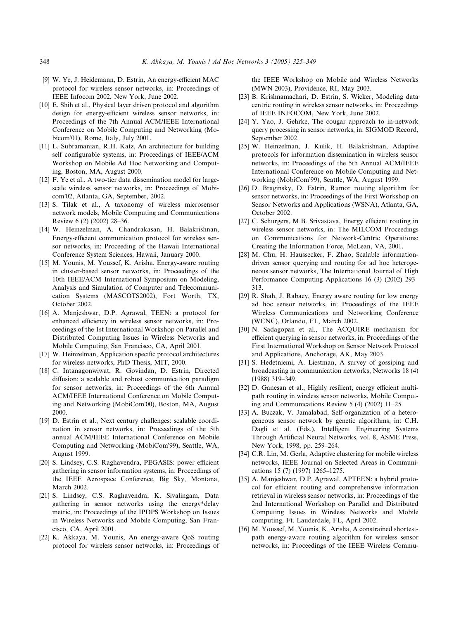- [9] W. Ye, J. Heidemann, D. Estrin, An energy-efficient MAC protocol for wireless sensor networks, in: Proceedings of IEEE Infocom 2002, New York, June 2002.
- [10] E. Shih et al., Physical layer driven protocol and algorithm design for energy-efficient wireless sensor networks, in: Proceedings of the 7th Annual ACM/IEEE International Conference on Mobile Computing and Networking (Mobicom'01), Rome, Italy, July 2001.
- [11] L. Subramanian, R.H. Katz, An architecture for building self configurable systems, in: Proceedings of IEEE/ACM Workshop on Mobile Ad Hoc Networking and Computing, Boston, MA, August 2000.
- [12] F. Ye et al., A two-tier data dissemination model for largescale wireless sensor networks, in: Proceedings of Mobicom02, Atlanta, GA, September, 2002.
- [13] S. Tilak et al., A taxonomy of wireless microsensor network models, Mobile Computing and Communications Review 6 (2) (2002) 28–36.
- [14] W. Heinzelman, A. Chandrakasan, H. Balakrishnan, Energy-efficient communication protocol for wireless sensor networks, in: Proceeding of the Hawaii International Conference System Sciences, Hawaii, January 2000.
- [15] M. Younis, M. Youssef, K. Arisha, Energy-aware routing in cluster-based sensor networks, in: Proceedings of the 10th IEEE/ACM International Symposium on Modeling, Analysis and Simulation of Computer and Telecommunication Systems (MASCOTS2002), Fort Worth, TX, October 2002.
- [16] A. Manjeshwar, D.P. Agrawal, TEEN: a protocol for enhanced efficiency in wireless sensor networks, in: Proceedings of the 1st International Workshop on Parallel and Distributed Computing Issues in Wireless Networks and Mobile Computing, San Francisco, CA, April 2001.
- [17] W. Heinzelman, Application specific protocol architectures for wireless networks, PhD Thesis, MIT, 2000.
- [18] C. Intanagonwiwat, R. Govindan, D. Estrin, Directed diffusion: a scalable and robust communication paradigm for sensor networks, in: Proceedings of the 6th Annual ACM/IEEE International Conference on Mobile Computing and Networking (MobiCom'00), Boston, MA, August 2000.
- [19] D. Estrin et al., Next century challenges: scalable coordination in sensor networks, in: Proceedings of the 5th annual ACM/IEEE International Conference on Mobile Computing and Networking (MobiCom99), Seattle, WA, August 1999.
- [20] S. Lindsey, C.S. Raghavendra, PEGASIS: power efficient gathering in sensor information systems, in: Proceedings of the IEEE Aerospace Conference, Big Sky, Montana, March 2002.
- [21] S. Lindsey, C.S. Raghavendra, K. Sivalingam, Data gathering in sensor networks using the energy\*delay metric, in: Proceedings of the IPDPS Workshop on Issues in Wireless Networks and Mobile Computing, San Francisco, CA, April 2001.
- [22] K. Akkaya, M. Younis, An energy-aware QoS routing protocol for wireless sensor networks, in: Proceedings of

the IEEE Workshop on Mobile and Wireless Networks (MWN 2003), Providence, RI, May 2003.

- [23] B. Krishnamachari, D. Estrin, S. Wicker, Modeling data centric routing in wireless sensor networks, in: Proceedings of IEEE INFOCOM, New York, June 2002.
- [24] Y. Yao, J. Gehrke, The cougar approach to in-network query processing in sensor networks, in: SIGMOD Record, September 2002.
- [25] W. Heinzelman, J. Kulik, H. Balakrishnan, Adaptive protocols for information dissemination in wireless sensor networks, in: Proceedings of the 5th Annual ACM/IEEE International Conference on Mobile Computing and Networking (MobiCom99), Seattle, WA, August 1999.
- [26] D. Braginsky, D. Estrin, Rumor routing algorithm for sensor networks, in: Proceedings of the First Workshop on Sensor Networks and Applications (WSNA), Atlanta, GA, October 2002.
- [27] C. Schurgers, M.B. Srivastava, Energy efficient routing in wireless sensor networks, in: The MILCOM Proceedings on Communications for Network-Centric Operations: Creating the Information Force, McLean, VA, 2001.
- [28] M. Chu, H. Haussecker, F. Zhao, Scalable informationdriven sensor querying and routing for ad hoc heterogeneous sensor networks, The International Journal of High Performance Computing Applications 16 (3) (2002) 293– 313.
- [29] R. Shah, J. Rabaey, Energy aware routing for low energy ad hoc sensor networks, in: Proceedings of the IEEE Wireless Communications and Networking Conference (WCNC), Orlando, FL, March 2002.
- [30] N. Sadagopan et al., The ACQUIRE mechanism for efficient querying in sensor networks, in: Proceedings of the First International Workshop on Sensor Network Protocol and Applications, Anchorage, AK, May 2003.
- [31] S. Hedetniemi, A. Liestman, A survey of gossiping and broadcasting in communication networks, Networks 18 (4) (1988) 319–349.
- [32] D. Ganesan et al., Highly resilient, energy efficient multipath routing in wireless sensor networks, Mobile Computing and Communications Review 5 (4) (2002) 11–25.
- [33] A. Buczak, V. Jamalabad, Self-organization of a heterogeneous sensor network by genetic algorithms, in: C.H. Dagli et al. (Eds.), Intelligent Engineering Systems Through Artificial Neural Networks, vol. 8, ASME Press, New York, 1998, pp. 259–264.
- [34] C.R. Lin, M. Gerla, Adaptive clustering for mobile wireless networks, IEEE Journal on Selected Areas in Communications 15 (7) (1997) 1265–1275.
- [35] A. Manjeshwar, D.P. Agrawal, APTEEN: a hybrid protocol for efficient routing and comprehensive information retrieval in wireless sensor networks, in: Proceedings of the 2nd International Workshop on Parallel and Distributed Computing Issues in Wireless Networks and Mobile computing, Ft. Lauderdale, FL, April 2002.
- [36] M. Youssef, M. Younis, K. Arisha, A constrained shortestpath energy-aware routing algorithm for wireless sensor networks, in: Proceedings of the IEEE Wireless Commu-